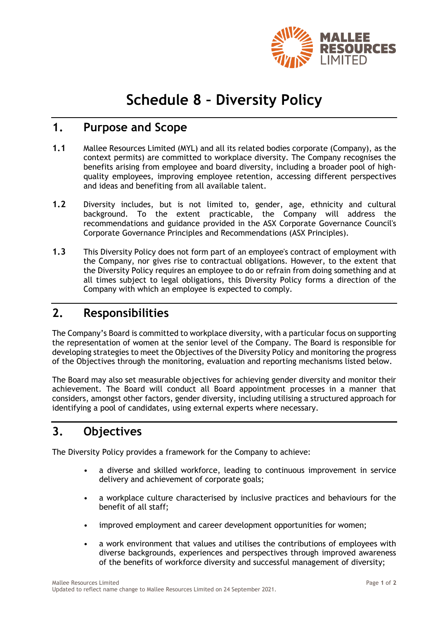

# **Schedule 8 – Diversity Policy**

## **1. Purpose and Scope**

- **1.1** Mallee Resources Limited (MYL) and all its related bodies corporate (Company), as the context permits) are committed to workplace diversity. The Company recognises the benefits arising from employee and board diversity, including a broader pool of highquality employees, improving employee retention, accessing different perspectives and ideas and benefiting from all available talent.
- **1.2** Diversity includes, but is not limited to, gender, age, ethnicity and cultural background. To the extent practicable, the Company will address the recommendations and guidance provided in the ASX Corporate Governance Council's Corporate Governance Principles and Recommendations (ASX Principles).
- **1.3** This Diversity Policy does not form part of an employee's contract of employment with the Company, nor gives rise to contractual obligations. However, to the extent that the Diversity Policy requires an employee to do or refrain from doing something and at all times subject to legal obligations, this Diversity Policy forms a direction of the Company with which an employee is expected to comply.

## **2. Responsibilities**

The Company's Board is committed to workplace diversity, with a particular focus on supporting the representation of women at the senior level of the Company. The Board is responsible for developing strategies to meet the Objectives of the Diversity Policy and monitoring the progress of the Objectives through the monitoring, evaluation and reporting mechanisms listed below.

The Board may also set measurable objectives for achieving gender diversity and monitor their achievement. The Board will conduct all Board appointment processes in a manner that considers, amongst other factors, gender diversity, including utilising a structured approach for identifying a pool of candidates, using external experts where necessary.

## **3. Objectives**

The Diversity Policy provides a framework for the Company to achieve:

- a diverse and skilled workforce, leading to continuous improvement in service delivery and achievement of corporate goals;
- a workplace culture characterised by inclusive practices and behaviours for the benefit of all staff;
- improved employment and career development opportunities for women;
- a work environment that values and utilises the contributions of employees with diverse backgrounds, experiences and perspectives through improved awareness of the benefits of workforce diversity and successful management of diversity;